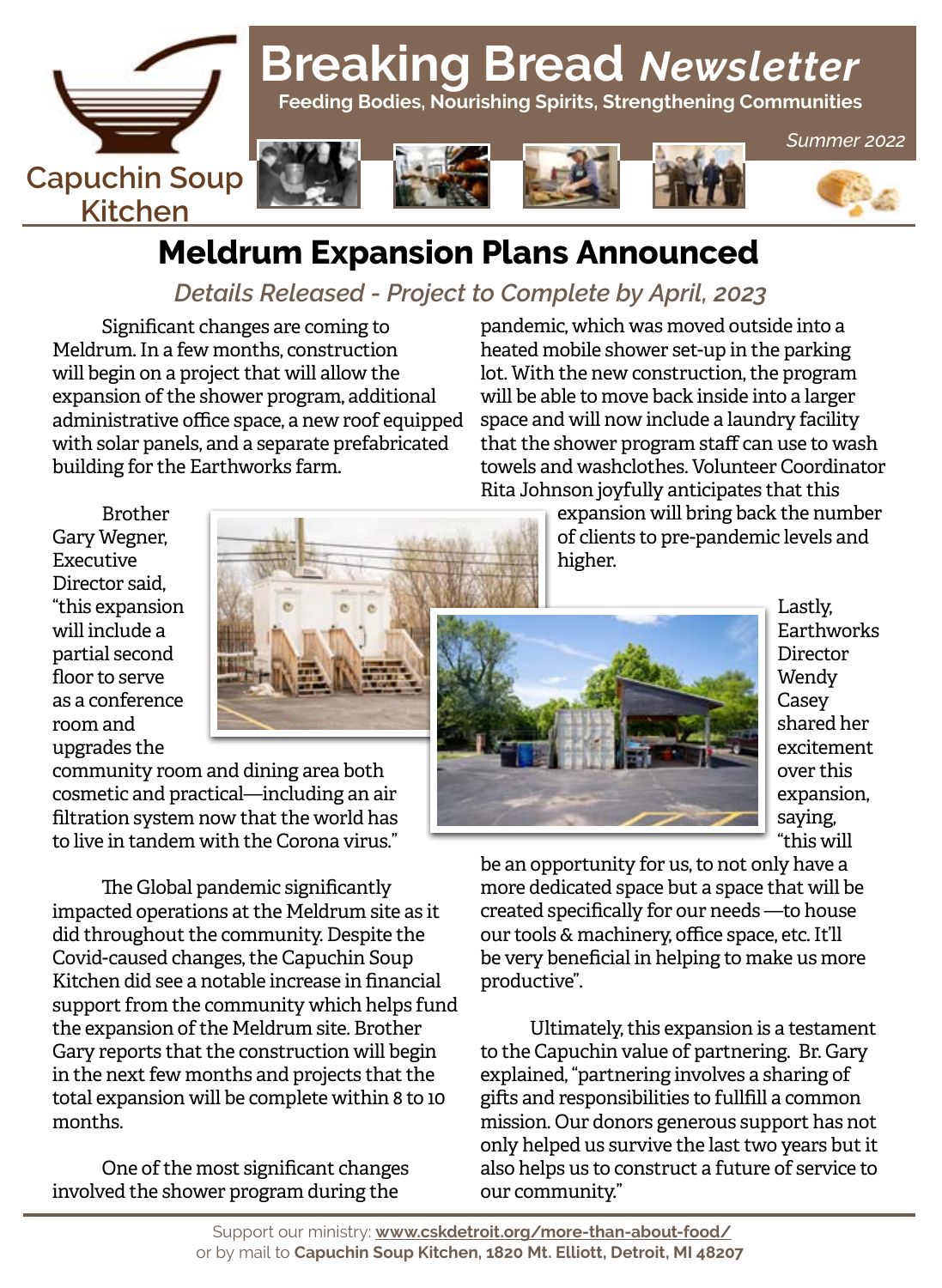

# **Breaking Bread** *Newsletter*

 **Feeding Bodies, Nourishing Spirits, Strengthening Communities**









*Summer 2022*

### **Meldrum Expansion Plans Announced**

*Details Released - Project to Complete by April, 2023*

Significant changes are coming to Meldrum. In a few months, construction will begin on a project that will allow the expansion of the shower program, additional administrative office space, a new roof equipped with solar panels, and a separate prefabricated building for the Earthworks farm.

pandemic, which was moved outside into a heated mobile shower set-up in the parking lot. With the new construction, the program will be able to move back inside into a larger space and will now include a laundry facility that the shower program staff can use to wash towels and washclothes. Volunteer Coordinator Rita Johnson joyfully anticipates that this

Brother Gary Wegner, Executive Director said, "this expansion will include a partial second floor to serve as a conference room and upgrades the



community room and dining area both cosmetic and practical—including an air filtration system now that the world has to live in tandem with the Corona virus."

The Global pandemic significantly impacted operations at the Meldrum site as it did throughout the community. Despite the Covid-caused changes, the Capuchin Soup Kitchen did see a notable increase in financial support from the community which helps fund the expansion of the Meldrum site. Brother Gary reports that the construction will begin in the next few months and projects that the total expansion will be complete within 8 to 10 months.

One of the most significant changes involved the shower program during the

expansion will bring back the number of clients to pre-pandemic levels and higher.



Lastly, **Earthworks Director** Wendy **Casey** shared her excitement over this expansion, saying, "this will

be an opportunity for us, to not only have a more dedicated space but a space that will be created specifically for our needs —to house our tools & machinery, office space, etc. It'll be very beneficial in helping to make us more productive".

Ultimately, this expansion is a testament to the Capuchin value of partnering. Br. Gary explained, "partnering involves a sharing of gifts and responsibilities to fullfill a common mission. Our donors generous support has not only helped us survive the last two years but it also helps us to construct a future of service to our community."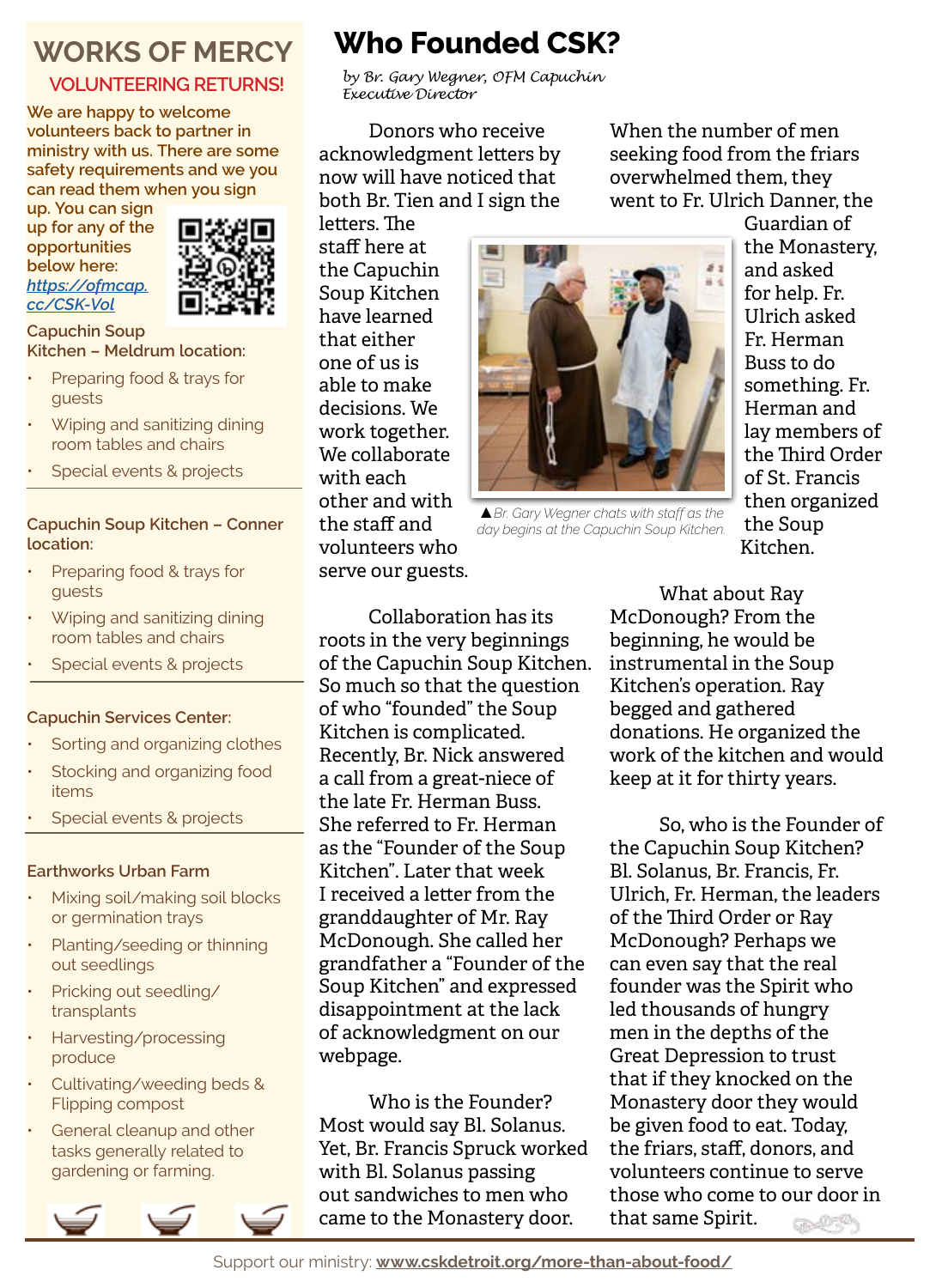#### **WORKS OF MERCY**

#### **VOLUNTEERING RETURNS!**

**We are happy to welcome volunteers back to partner in ministry with us. There are some safety requirements and we you can read them when you sign** 

**up. You can sign up for any of the opportunities below here:**  *[https://ofmcap.](https://ofmcap.cc/CSK-Vol) [cc/CSK-Vol](https://ofmcap.cc/CSK-Vol)*



**Capuchin Soup Kitchen – Meldrum location:**

- Preparing food & trays for guests
- Wiping and sanitizing dining room tables and chairs
- Special events & projects

#### **Capuchin Soup Kitchen – Conner location:**

- Preparing food & trays for guests
- Wiping and sanitizing dining room tables and chairs
- Special events & projects

#### **Capuchin Services Center:**

- Sorting and organizing clothes
- Stocking and organizing food items
- Special events & projects

#### **Earthworks Urban Farm**

- Mixing soil/making soil blocks or germination trays
- Planting/seeding or thinning out seedlings
- Pricking out seedling/ transplants
- Harvesting/processing produce
- Cultivating/weeding beds & Flipping compost
- General cleanup and other tasks generally related to gardening or farming.



### **Who Founded CSK?**

*by Br. Gary Wegner, OFM Capuchin Executive Director*

Donors who receive acknowledgment letters by now will have noticed that both Br. Tien and I sign the

letters. The staff here at the Capuchin Soup Kitchen have learned that either one of us is able to make decisions. We work together. We collaborate with each other and with the staff and volunteers who serve our guests.



▲*Br. Gary Wegner chats with staff as the day begins at the Capuchin Soup Kitchen.*

When the number of men seeking food from the friars overwhelmed them, they went to Fr. Ulrich Danner, the

> Guardian of the Monastery, and asked for help. Fr. Ulrich asked Fr. Herman Buss to do something. Fr. Herman and lay members of the Third Order of St. Francis then organized the Soup Kitchen.

Collaboration has its roots in the very beginnings of the Capuchin Soup Kitchen. So much so that the question of who "founded" the Soup Kitchen is complicated. Recently, Br. Nick answered a call from a great-niece of the late Fr. Herman Buss. She referred to Fr. Herman as the "Founder of the Soup Kitchen". Later that week I received a letter from the granddaughter of Mr. Ray McDonough. She called her grandfather a "Founder of the Soup Kitchen" and expressed disappointment at the lack of acknowledgment on our webpage.

Who is the Founder? Most would say Bl. Solanus. Yet, Br. Francis Spruck worked with Bl. Solanus passing out sandwiches to men who came to the Monastery door.

What about Ray McDonough? From the beginning, he would be instrumental in the Soup Kitchen's operation. Ray begged and gathered donations. He organized the work of the kitchen and would keep at it for thirty years.

So, who is the Founder of the Capuchin Soup Kitchen? Bl. Solanus, Br. Francis, Fr. Ulrich, Fr. Herman, the leaders of the Third Order or Ray McDonough? Perhaps we can even say that the real founder was the Spirit who led thousands of hungry men in the depths of the Great Depression to trust that if they knocked on the Monastery door they would be given food to eat. Today, the friars, staff, donors, and volunteers continue to serve those who come to our door in that same Spirit. GRAUT<sup>O</sup>

Support our ministry: **[www.cskdetroit.org/more-than-about-food/](http://www.cskdetroit.org/more-than-about-food/)**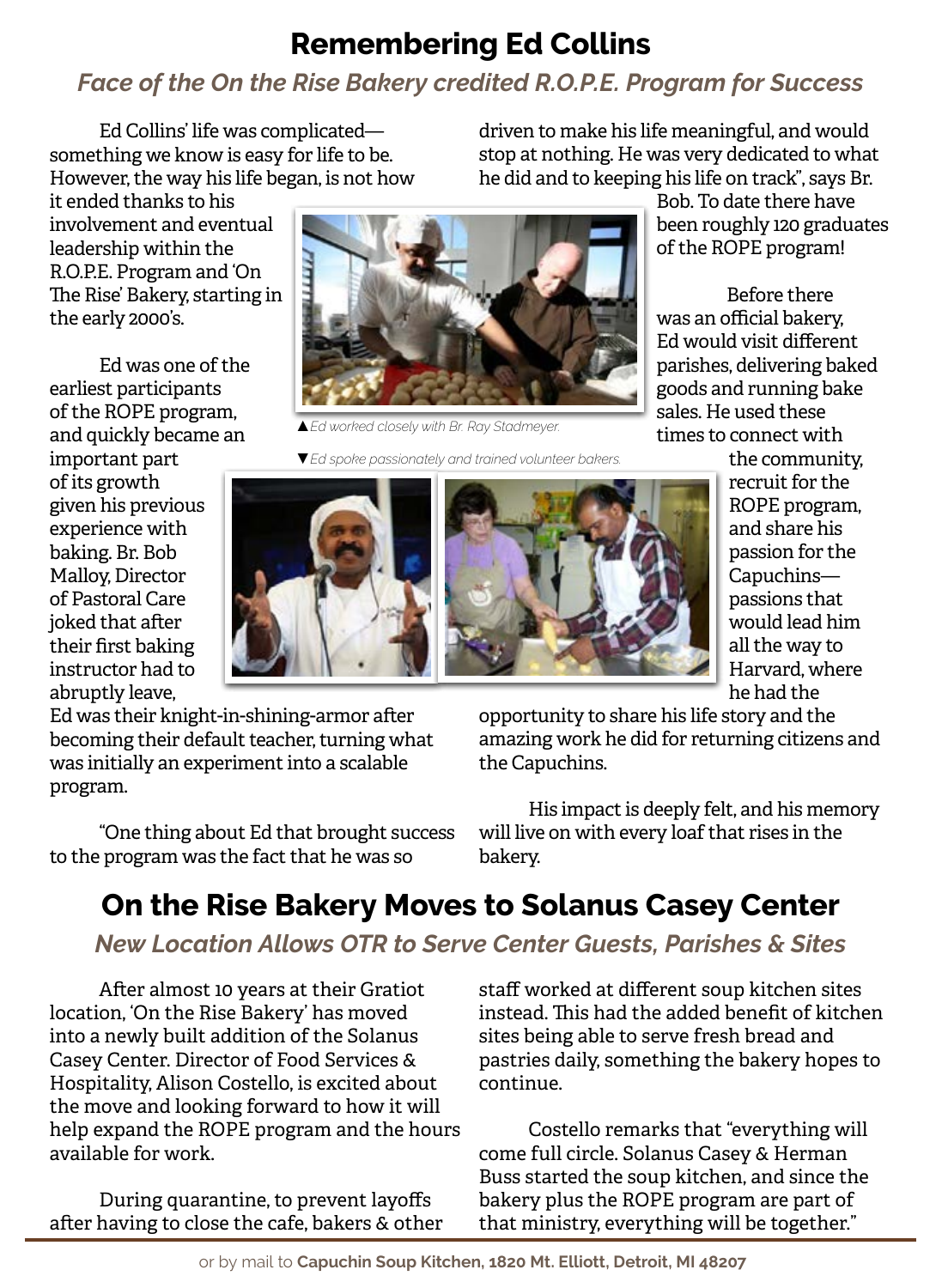### **Remembering Ed Collins**

#### *Face of the On the Rise Bakery credited R.O.P.E. Program for Success*

Ed Collins' life was complicated something we know is easy for life to be. However, the way his life began, is not how

it ended thanks to his involvement and eventual leadership within the R.O.P.E. Program and 'On The Rise' Bakery, starting in the early 2000's.

Ed was one of the earliest participants of the ROPE program, and quickly became an

important part of its growth given his previous experience with baking. Br. Bob Malloy, Director of Pastoral Care joked that after their first baking instructor had to abruptly leave,

▲*Ed worked closely with Br. Ray Stadmeyer.*

▼*Ed spoke passionately and trained volunteer bakers.*



Ed was their knight-in-shining-armor after becoming their default teacher, turning what was initially an experiment into a scalable program.

"One thing about Ed that brought success to the program was the fact that he was so

driven to make his life meaningful, and would stop at nothing. He was very dedicated to what he did and to keeping his life on track", says Br.

> Bob. To date there have been roughly 120 graduates of the ROPE program!

 Before there was an official bakery, Ed would visit different parishes, delivering baked goods and running bake sales. He used these times to connect with

> the community, recruit for the ROPE program, and share his passion for the Capuchins passions that would lead him all the way to Harvard, where he had the

opportunity to share his life story and the amazing work he did for returning citizens and the Capuchins.

His impact is deeply felt, and his memory will live on with every loaf that rises in the bakery.

## **On the Rise Bakery Moves to Solanus Casey Center**

#### *New Location Allows OTR to Serve Center Guests, Parishes & Sites*

After almost 10 years at their Gratiot location, 'On the Rise Bakery' has moved into a newly built addition of the Solanus Casey Center. Director of Food Services & Hospitality, Alison Costello, is excited about the move and looking forward to how it will help expand the ROPE program and the hours available for work.

During quarantine, to prevent layoffs after having to close the cafe, bakers & other staff worked at different soup kitchen sites instead. This had the added benefit of kitchen sites being able to serve fresh bread and pastries daily, something the bakery hopes to continue.

Costello remarks that "everything will come full circle. Solanus Casey & Herman Buss started the soup kitchen, and since the bakery plus the ROPE program are part of that ministry, everything will be together."